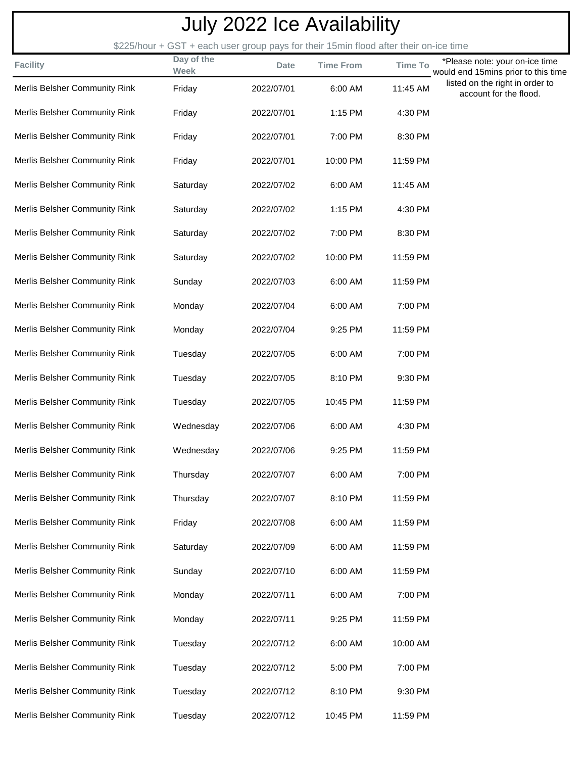| <b>July 2022 Ice Availability</b> |                                                                                                     |             |                  |                |                                                                                                  |  |  |  |  |  |
|-----------------------------------|-----------------------------------------------------------------------------------------------------|-------------|------------------|----------------|--------------------------------------------------------------------------------------------------|--|--|--|--|--|
| <b>Facility</b>                   | \$225/hour + GST + each user group pays for their 15min flood after their on-ice time<br>Day of the | <b>Date</b> | <b>Time From</b> | <b>Time To</b> | *Please note: your on-ice time                                                                   |  |  |  |  |  |
| Merlis Belsher Community Rink     | <b>Week</b><br>Friday                                                                               | 2022/07/01  | 6:00 AM          | 11:45 AM       | would end 15mins prior to this time<br>listed on the right in order to<br>account for the flood. |  |  |  |  |  |
| Merlis Belsher Community Rink     | Friday                                                                                              | 2022/07/01  | 1:15 PM          | 4:30 PM        |                                                                                                  |  |  |  |  |  |
| Merlis Belsher Community Rink     | Friday                                                                                              | 2022/07/01  | 7:00 PM          | 8:30 PM        |                                                                                                  |  |  |  |  |  |
| Merlis Belsher Community Rink     | Friday                                                                                              | 2022/07/01  | 10:00 PM         | 11:59 PM       |                                                                                                  |  |  |  |  |  |
| Merlis Belsher Community Rink     | Saturday                                                                                            | 2022/07/02  | 6:00 AM          | 11:45 AM       |                                                                                                  |  |  |  |  |  |
| Merlis Belsher Community Rink     | Saturday                                                                                            | 2022/07/02  | 1:15 PM          | 4:30 PM        |                                                                                                  |  |  |  |  |  |
| Merlis Belsher Community Rink     | Saturday                                                                                            | 2022/07/02  | 7:00 PM          | 8:30 PM        |                                                                                                  |  |  |  |  |  |
| Merlis Belsher Community Rink     | Saturday                                                                                            | 2022/07/02  | 10:00 PM         | 11:59 PM       |                                                                                                  |  |  |  |  |  |
| Merlis Belsher Community Rink     | Sunday                                                                                              | 2022/07/03  | 6:00 AM          | 11:59 PM       |                                                                                                  |  |  |  |  |  |
| Merlis Belsher Community Rink     | Monday                                                                                              | 2022/07/04  | 6:00 AM          | 7:00 PM        |                                                                                                  |  |  |  |  |  |
| Merlis Belsher Community Rink     | Monday                                                                                              | 2022/07/04  | 9:25 PM          | 11:59 PM       |                                                                                                  |  |  |  |  |  |
| Merlis Belsher Community Rink     | Tuesday                                                                                             | 2022/07/05  | 6:00 AM          | 7:00 PM        |                                                                                                  |  |  |  |  |  |
| Merlis Belsher Community Rink     | Tuesday                                                                                             | 2022/07/05  | 8:10 PM          | 9:30 PM        |                                                                                                  |  |  |  |  |  |
| Merlis Belsher Community Rink     | Tuesday                                                                                             | 2022/07/05  | 10:45 PM         | 11:59 PM       |                                                                                                  |  |  |  |  |  |
| Merlis Belsher Community Rink     | Wednesday                                                                                           | 2022/07/06  | 6:00 AM          | 4:30 PM        |                                                                                                  |  |  |  |  |  |
| Merlis Belsher Community Rink     | Wednesday                                                                                           | 2022/07/06  | 9:25 PM          | 11:59 PM       |                                                                                                  |  |  |  |  |  |
| Merlis Belsher Community Rink     | Thursday                                                                                            | 2022/07/07  | 6:00 AM          | 7:00 PM        |                                                                                                  |  |  |  |  |  |
| Merlis Belsher Community Rink     | Thursday                                                                                            | 2022/07/07  | 8:10 PM          | 11:59 PM       |                                                                                                  |  |  |  |  |  |
| Merlis Belsher Community Rink     | Friday                                                                                              | 2022/07/08  | 6:00 AM          | 11:59 PM       |                                                                                                  |  |  |  |  |  |
| Merlis Belsher Community Rink     | Saturday                                                                                            | 2022/07/09  | 6:00 AM          | 11:59 PM       |                                                                                                  |  |  |  |  |  |
| Merlis Belsher Community Rink     | Sunday                                                                                              | 2022/07/10  | 6:00 AM          | 11:59 PM       |                                                                                                  |  |  |  |  |  |
| Merlis Belsher Community Rink     | Monday                                                                                              | 2022/07/11  | 6:00 AM          | 7:00 PM        |                                                                                                  |  |  |  |  |  |
| Merlis Belsher Community Rink     | Monday                                                                                              | 2022/07/11  | 9:25 PM          | 11:59 PM       |                                                                                                  |  |  |  |  |  |
| Merlis Belsher Community Rink     | Tuesday                                                                                             | 2022/07/12  | 6:00 AM          | 10:00 AM       |                                                                                                  |  |  |  |  |  |
| Merlis Belsher Community Rink     | Tuesday                                                                                             | 2022/07/12  | 5:00 PM          | 7:00 PM        |                                                                                                  |  |  |  |  |  |
| Merlis Belsher Community Rink     | Tuesday                                                                                             | 2022/07/12  | 8:10 PM          | 9:30 PM        |                                                                                                  |  |  |  |  |  |
| Merlis Belsher Community Rink     | Tuesday                                                                                             | 2022/07/12  | 10:45 PM         | 11:59 PM       |                                                                                                  |  |  |  |  |  |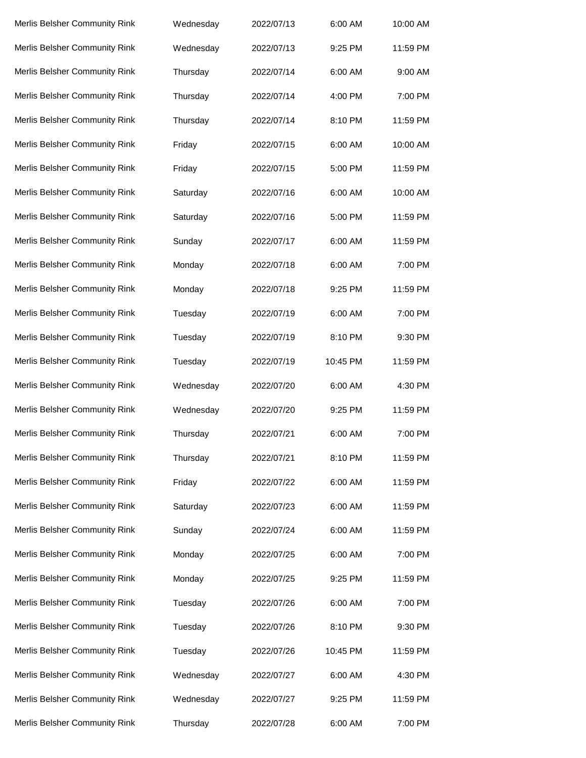| Merlis Belsher Community Rink | Wednesday | 2022/07/13 | 6:00 AM  | 10:00 AM |
|-------------------------------|-----------|------------|----------|----------|
| Merlis Belsher Community Rink | Wednesday | 2022/07/13 | 9:25 PM  | 11:59 PM |
| Merlis Belsher Community Rink | Thursday  | 2022/07/14 | 6:00 AM  | 9:00 AM  |
| Merlis Belsher Community Rink | Thursday  | 2022/07/14 | 4:00 PM  | 7:00 PM  |
| Merlis Belsher Community Rink | Thursday  | 2022/07/14 | 8:10 PM  | 11:59 PM |
| Merlis Belsher Community Rink | Friday    | 2022/07/15 | 6:00 AM  | 10:00 AM |
| Merlis Belsher Community Rink | Friday    | 2022/07/15 | 5:00 PM  | 11:59 PM |
| Merlis Belsher Community Rink | Saturday  | 2022/07/16 | 6:00 AM  | 10:00 AM |
| Merlis Belsher Community Rink | Saturday  | 2022/07/16 | 5:00 PM  | 11:59 PM |
| Merlis Belsher Community Rink | Sunday    | 2022/07/17 | 6:00 AM  | 11:59 PM |
| Merlis Belsher Community Rink | Monday    | 2022/07/18 | 6:00 AM  | 7:00 PM  |
| Merlis Belsher Community Rink | Monday    | 2022/07/18 | 9:25 PM  | 11:59 PM |
| Merlis Belsher Community Rink | Tuesday   | 2022/07/19 | 6:00 AM  | 7:00 PM  |
| Merlis Belsher Community Rink | Tuesday   | 2022/07/19 | 8:10 PM  | 9:30 PM  |
| Merlis Belsher Community Rink | Tuesday   | 2022/07/19 | 10:45 PM | 11:59 PM |
| Merlis Belsher Community Rink | Wednesday | 2022/07/20 | 6:00 AM  | 4:30 PM  |
| Merlis Belsher Community Rink | Wednesday | 2022/07/20 | 9:25 PM  | 11:59 PM |
| Merlis Belsher Community Rink | Thursday  | 2022/07/21 | 6:00 AM  | 7:00 PM  |
| Merlis Belsher Community Rink | Thursday  | 2022/07/21 | 8:10 PM  | 11:59 PM |
| Merlis Belsher Community Rink | Friday    | 2022/07/22 | 6:00 AM  | 11:59 PM |
| Merlis Belsher Community Rink | Saturday  | 2022/07/23 | 6:00 AM  | 11:59 PM |
| Merlis Belsher Community Rink | Sunday    | 2022/07/24 | 6:00 AM  | 11:59 PM |
| Merlis Belsher Community Rink | Monday    | 2022/07/25 | 6:00 AM  | 7:00 PM  |
| Merlis Belsher Community Rink | Monday    | 2022/07/25 | 9:25 PM  | 11:59 PM |
| Merlis Belsher Community Rink | Tuesday   | 2022/07/26 | 6:00 AM  | 7:00 PM  |
| Merlis Belsher Community Rink | Tuesday   | 2022/07/26 | 8:10 PM  | 9:30 PM  |
| Merlis Belsher Community Rink | Tuesday   | 2022/07/26 | 10:45 PM | 11:59 PM |
| Merlis Belsher Community Rink | Wednesday | 2022/07/27 | 6:00 AM  | 4:30 PM  |
| Merlis Belsher Community Rink | Wednesday | 2022/07/27 | 9:25 PM  | 11:59 PM |
| Merlis Belsher Community Rink | Thursday  | 2022/07/28 | 6:00 AM  | 7:00 PM  |